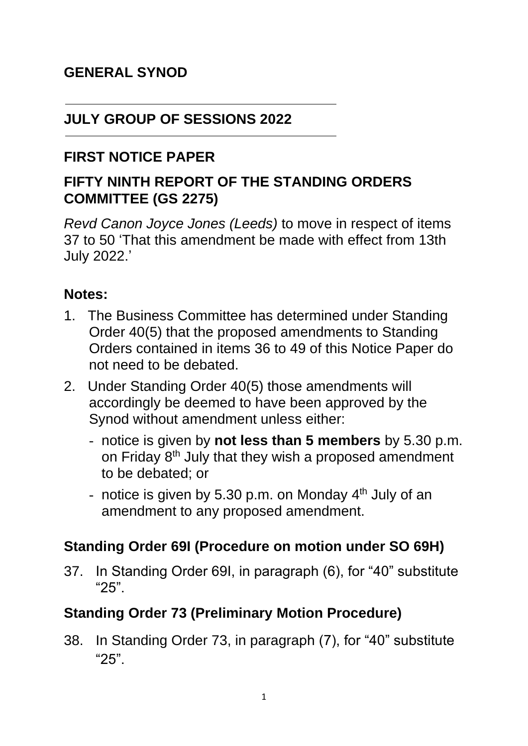### **GENERAL SYNOD**

#### **JULY GROUP OF SESSIONS 2022**

### **FIRST NOTICE PAPER**

### **FIFTY NINTH REPORT OF THE STANDING ORDERS COMMITTEE (GS 2275)**

*Revd Canon Joyce Jones (Leeds)* to move in respect of items 37 to 50 'That this amendment be made with effect from 13th July 2022.'

### **Notes:**

- 1. The Business Committee has determined under Standing Order 40(5) that the proposed amendments to Standing Orders contained in items 36 to 49 of this Notice Paper do not need to be debated.
- 2. Under Standing Order 40(5) those amendments will accordingly be deemed to have been approved by the Synod without amendment unless either:
	- notice is given by **not less than 5 members** by 5.30 p.m. on Friday 8<sup>th</sup> July that they wish a proposed amendment to be debated; or
	- notice is given by 5.30 p.m. on Monday  $4<sup>th</sup>$  July of an amendment to any proposed amendment.

### **Standing Order 69I (Procedure on motion under SO 69H)**

37. In Standing Order 69I, in paragraph (6), for "40" substitute "25".

### **Standing Order 73 (Preliminary Motion Procedure)**

38. In Standing Order 73, in paragraph (7), for "40" substitute "25".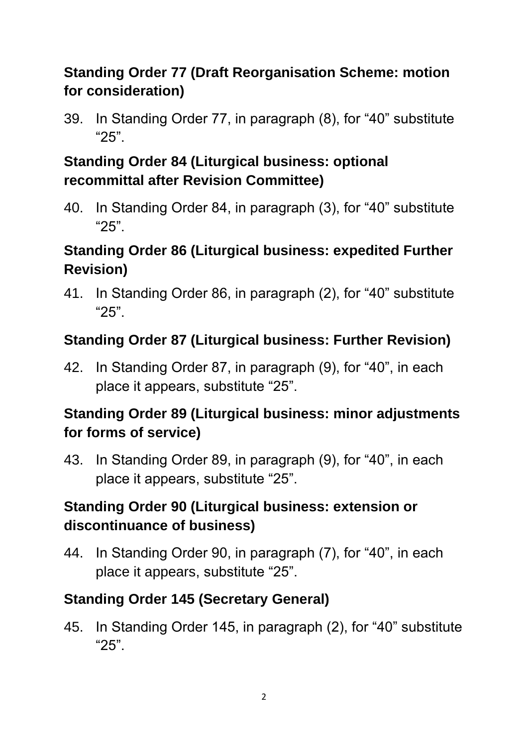## **Standing Order 77 (Draft Reorganisation Scheme: motion for consideration)**

39. In Standing Order 77, in paragraph (8), for "40" substitute "25".

# **Standing Order 84 (Liturgical business: optional recommittal after Revision Committee)**

40. In Standing Order 84, in paragraph (3), for "40" substitute "25".

## **Standing Order 86 (Liturgical business: expedited Further Revision)**

41. In Standing Order 86, in paragraph (2), for "40" substitute "25".

# **Standing Order 87 (Liturgical business: Further Revision)**

42. In Standing Order 87, in paragraph (9), for "40", in each place it appears, substitute "25".

# **Standing Order 89 (Liturgical business: minor adjustments for forms of service)**

43. In Standing Order 89, in paragraph (9), for "40", in each place it appears, substitute "25".

## **Standing Order 90 (Liturgical business: extension or discontinuance of business)**

44. In Standing Order 90, in paragraph (7), for "40", in each place it appears, substitute "25".

### **Standing Order 145 (Secretary General)**

45. In Standing Order 145, in paragraph (2), for "40" substitute "25".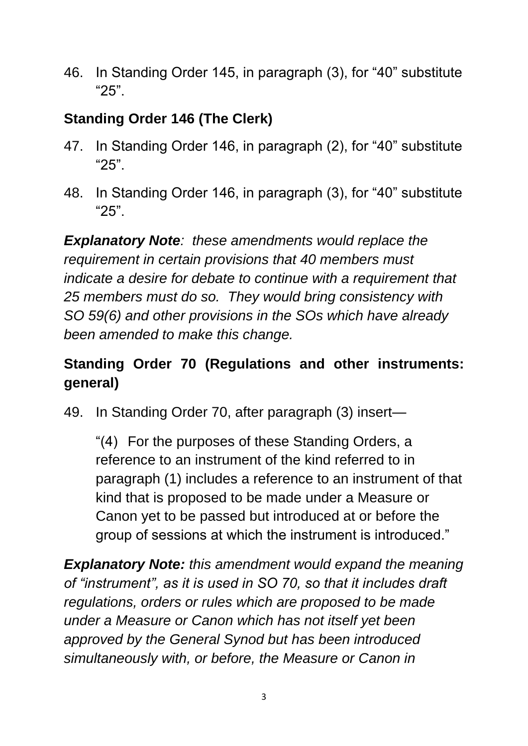46. In Standing Order 145, in paragraph (3), for "40" substitute "25".

## **Standing Order 146 (The Clerk)**

- 47. In Standing Order 146, in paragraph (2), for "40" substitute "25".
- 48. In Standing Order 146, in paragraph (3), for "40" substitute "25".

*Explanatory Note: these amendments would replace the requirement in certain provisions that 40 members must indicate a desire for debate to continue with a requirement that 25 members must do so. They would bring consistency with SO 59(6) and other provisions in the SOs which have already been amended to make this change.* 

# **Standing Order 70 (Regulations and other instruments: general)**

49. In Standing Order 70, after paragraph (3) insert—

"(4) For the purposes of these Standing Orders, a reference to an instrument of the kind referred to in paragraph (1) includes a reference to an instrument of that kind that is proposed to be made under a Measure or Canon yet to be passed but introduced at or before the group of sessions at which the instrument is introduced."

*Explanatory Note: this amendment would expand the meaning of "instrument", as it is used in SO 70, so that it includes draft regulations, orders or rules which are proposed to be made under a Measure or Canon which has not itself yet been approved by the General Synod but has been introduced simultaneously with, or before, the Measure or Canon in*